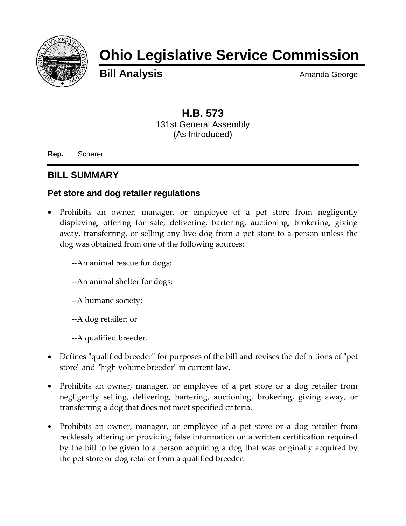

# **Ohio Legislative Service Commission**

**Bill Analysis** Amanda George

# **H.B. 573** 131st General Assembly (As Introduced)

**Rep.** Scherer

## **BILL SUMMARY**

#### **Pet store and dog retailer regulations**

- Prohibits an owner, manager, or employee of a pet store from negligently displaying, offering for sale, delivering, bartering, auctioning, brokering, giving away, transferring, or selling any live dog from a pet store to a person unless the dog was obtained from one of the following sources:
	- --An animal rescue for dogs;
	- --An animal shelter for dogs;
	- --A humane society;
	- --A dog retailer; or
	- --A qualified breeder.
- Defines "qualified breeder" for purposes of the bill and revises the definitions of "pet store" and "high volume breeder" in current law.
- Prohibits an owner, manager, or employee of a pet store or a dog retailer from negligently selling, delivering, bartering, auctioning, brokering, giving away, or transferring a dog that does not meet specified criteria.
- Prohibits an owner, manager, or employee of a pet store or a dog retailer from recklessly altering or providing false information on a written certification required by the bill to be given to a person acquiring a dog that was originally acquired by the pet store or dog retailer from a qualified breeder.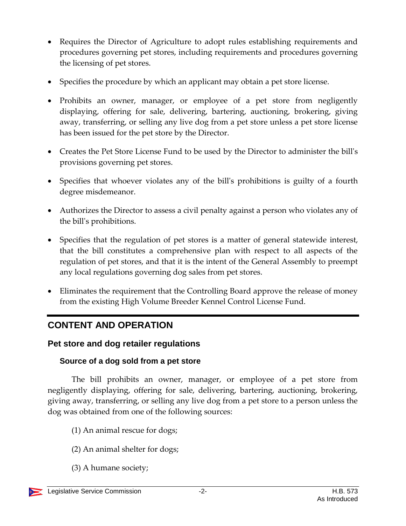- Requires the Director of Agriculture to adopt rules establishing requirements and procedures governing pet stores, including requirements and procedures governing the licensing of pet stores.
- Specifies the procedure by which an applicant may obtain a pet store license.
- Prohibits an owner, manager, or employee of a pet store from negligently displaying, offering for sale, delivering, bartering, auctioning, brokering, giving away, transferring, or selling any live dog from a pet store unless a pet store license has been issued for the pet store by the Director.
- Creates the Pet Store License Fund to be used by the Director to administer the bill's provisions governing pet stores.
- Specifies that whoever violates any of the bill's prohibitions is guilty of a fourth degree misdemeanor.
- Authorizes the Director to assess a civil penalty against a person who violates any of the bill's prohibitions.
- Specifies that the regulation of pet stores is a matter of general statewide interest, that the bill constitutes a comprehensive plan with respect to all aspects of the regulation of pet stores, and that it is the intent of the General Assembly to preempt any local regulations governing dog sales from pet stores.
- Eliminates the requirement that the Controlling Board approve the release of money from the existing High Volume Breeder Kennel Control License Fund.

# **CONTENT AND OPERATION**

## **Pet store and dog retailer regulations**

#### **Source of a dog sold from a pet store**

The bill prohibits an owner, manager, or employee of a pet store from negligently displaying, offering for sale, delivering, bartering, auctioning, brokering, giving away, transferring, or selling any live dog from a pet store to a person unless the dog was obtained from one of the following sources:

- (1) An animal rescue for dogs;
- (2) An animal shelter for dogs;
- (3) A humane society;

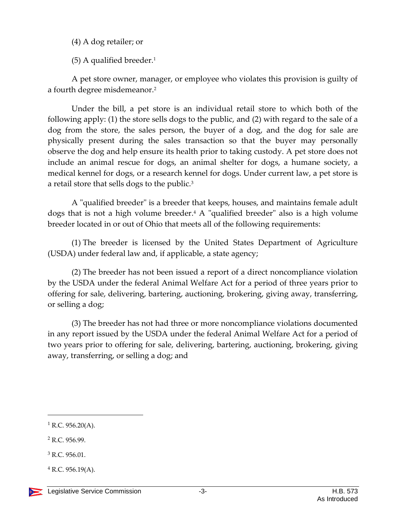(4) A dog retailer; or

(5) A qualified breeder.<sup>1</sup>

A pet store owner, manager, or employee who violates this provision is guilty of a fourth degree misdemeanor.<sup>2</sup>

Under the bill, a pet store is an individual retail store to which both of the following apply: (1) the store sells dogs to the public, and (2) with regard to the sale of a dog from the store, the sales person, the buyer of a dog, and the dog for sale are physically present during the sales transaction so that the buyer may personally observe the dog and help ensure its health prior to taking custody. A pet store does not include an animal rescue for dogs, an animal shelter for dogs, a humane society, a medical kennel for dogs, or a research kennel for dogs. Under current law, a pet store is a retail store that sells dogs to the public.<sup>3</sup>

A "qualified breeder" is a breeder that keeps, houses, and maintains female adult dogs that is not a high volume breeder.<sup>4</sup> A "qualified breeder" also is a high volume breeder located in or out of Ohio that meets all of the following requirements:

(1) The breeder is licensed by the United States Department of Agriculture (USDA) under federal law and, if applicable, a state agency;

(2) The breeder has not been issued a report of a direct noncompliance violation by the USDA under the federal Animal Welfare Act for a period of three years prior to offering for sale, delivering, bartering, auctioning, brokering, giving away, transferring, or selling a dog;

(3) The breeder has not had three or more noncompliance violations documented in any report issued by the USDA under the federal Animal Welfare Act for a period of two years prior to offering for sale, delivering, bartering, auctioning, brokering, giving away, transferring, or selling a dog; and

 $\overline{a}$ 

 $1$  R.C. 956.20(A).

<sup>2</sup> R.C. 956.99.

<sup>3</sup> R.C. 956.01.

 $4$  R.C. 956.19(A).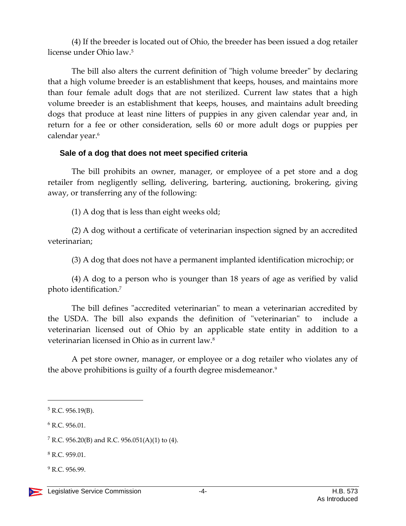(4) If the breeder is located out of Ohio, the breeder has been issued a dog retailer license under Ohio law.<sup>5</sup>

The bill also alters the current definition of "high volume breeder" by declaring that a high volume breeder is an establishment that keeps, houses, and maintains more than four female adult dogs that are not sterilized. Current law states that a high volume breeder is an establishment that keeps, houses, and maintains adult breeding dogs that produce at least nine litters of puppies in any given calendar year and, in return for a fee or other consideration, sells 60 or more adult dogs or puppies per calendar year.<sup>6</sup>

#### **Sale of a dog that does not meet specified criteria**

The bill prohibits an owner, manager, or employee of a pet store and a dog retailer from negligently selling, delivering, bartering, auctioning, brokering, giving away, or transferring any of the following:

(1) A dog that is less than eight weeks old;

(2) A dog without a certificate of veterinarian inspection signed by an accredited veterinarian;

(3) A dog that does not have a permanent implanted identification microchip; or

(4) A dog to a person who is younger than 18 years of age as verified by valid photo identification.<sup>7</sup>

The bill defines "accredited veterinarian" to mean a veterinarian accredited by the USDA. The bill also expands the definition of "veterinarian" to include a veterinarian licensed out of Ohio by an applicable state entity in addition to a veterinarian licensed in Ohio as in current law.<sup>8</sup>

A pet store owner, manager, or employee or a dog retailer who violates any of the above prohibitions is guilty of a fourth degree misdemeanor.<sup>9</sup>

 $\overline{a}$ 

<sup>8</sup> R.C. 959.01.

<sup>9</sup> R.C. 956.99.

 $5$  R.C. 956.19(B).

<sup>6</sup> R.C. 956.01.

<sup>&</sup>lt;sup>7</sup> R.C. 956.20(B) and R.C. 956.051(A)(1) to (4).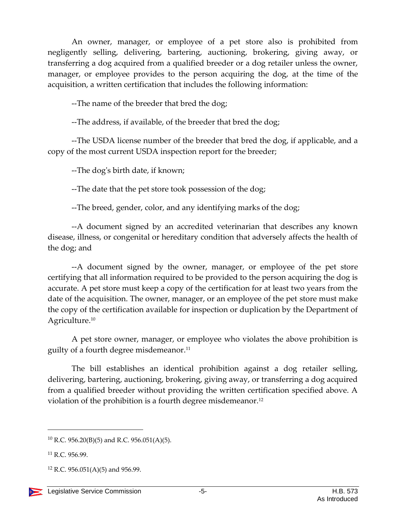An owner, manager, or employee of a pet store also is prohibited from negligently selling, delivering, bartering, auctioning, brokering, giving away, or transferring a dog acquired from a qualified breeder or a dog retailer unless the owner, manager, or employee provides to the person acquiring the dog, at the time of the acquisition, a written certification that includes the following information:

--The name of the breeder that bred the dog;

--The address, if available, of the breeder that bred the dog;

--The USDA license number of the breeder that bred the dog, if applicable, and a copy of the most current USDA inspection report for the breeder;

--The dog's birth date, if known;

--The date that the pet store took possession of the dog;

--The breed, gender, color, and any identifying marks of the dog;

--A document signed by an accredited veterinarian that describes any known disease, illness, or congenital or hereditary condition that adversely affects the health of the dog; and

--A document signed by the owner, manager, or employee of the pet store certifying that all information required to be provided to the person acquiring the dog is accurate. A pet store must keep a copy of the certification for at least two years from the date of the acquisition. The owner, manager, or an employee of the pet store must make the copy of the certification available for inspection or duplication by the Department of Agriculture.<sup>10</sup>

A pet store owner, manager, or employee who violates the above prohibition is guilty of a fourth degree misdemeanor.<sup>11</sup>

The bill establishes an identical prohibition against a dog retailer selling, delivering, bartering, auctioning, brokering, giving away, or transferring a dog acquired from a qualified breeder without providing the written certification specified above. A violation of the prohibition is a fourth degree misdemeanor.<sup>12</sup>

 $12$  R.C. 956.051(A)(5) and 956.99.



 $\overline{a}$ 

<sup>&</sup>lt;sup>10</sup> R.C. 956.20(B)(5) and R.C. 956.051(A)(5).

<sup>11</sup> R.C. 956.99.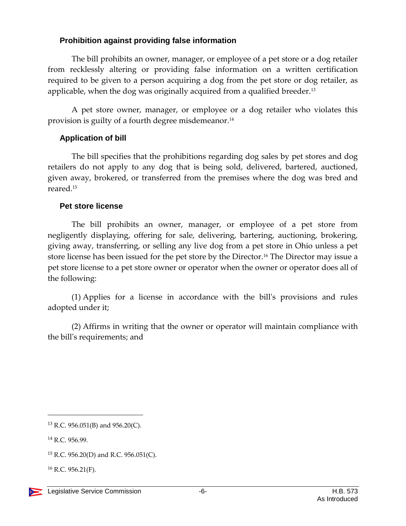#### **Prohibition against providing false information**

The bill prohibits an owner, manager, or employee of a pet store or a dog retailer from recklessly altering or providing false information on a written certification required to be given to a person acquiring a dog from the pet store or dog retailer, as applicable, when the dog was originally acquired from a qualified breeder.<sup>13</sup>

A pet store owner, manager, or employee or a dog retailer who violates this provision is guilty of a fourth degree misdemeanor.<sup>14</sup>

#### **Application of bill**

The bill specifies that the prohibitions regarding dog sales by pet stores and dog retailers do not apply to any dog that is being sold, delivered, bartered, auctioned, given away, brokered, or transferred from the premises where the dog was bred and reared.<sup>15</sup>

#### **Pet store license**

The bill prohibits an owner, manager, or employee of a pet store from negligently displaying, offering for sale, delivering, bartering, auctioning, brokering, giving away, transferring, or selling any live dog from a pet store in Ohio unless a pet store license has been issued for the pet store by the Director.<sup>16</sup> The Director may issue a pet store license to a pet store owner or operator when the owner or operator does all of the following:

(1) Applies for a license in accordance with the bill's provisions and rules adopted under it;

(2) Affirms in writing that the owner or operator will maintain compliance with the bill's requirements; and

 $\overline{a}$ 

<sup>&</sup>lt;sup>13</sup> R.C. 956.051(B) and 956.20(C).

<sup>14</sup> R.C. 956.99.

<sup>&</sup>lt;sup>15</sup> R.C. 956.20(D) and R.C. 956.051(C).

 $16$  R.C. 956.21(F).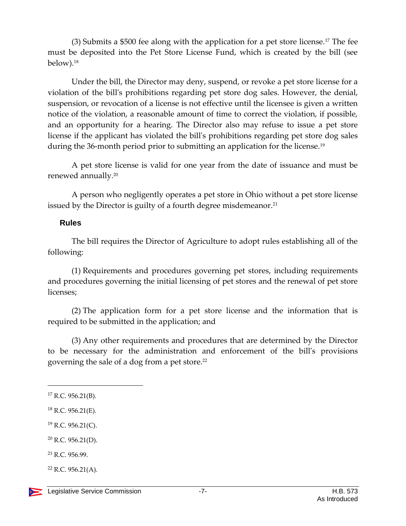(3) Submits a \$500 fee along with the application for a pet store license.<sup>17</sup> The fee must be deposited into the Pet Store License Fund, which is created by the bill (see below).<sup>18</sup>

Under the bill, the Director may deny, suspend, or revoke a pet store license for a violation of the bill's prohibitions regarding pet store dog sales. However, the denial, suspension, or revocation of a license is not effective until the licensee is given a written notice of the violation, a reasonable amount of time to correct the violation, if possible, and an opportunity for a hearing. The Director also may refuse to issue a pet store license if the applicant has violated the bill's prohibitions regarding pet store dog sales during the 36-month period prior to submitting an application for the license.<sup>19</sup>

A pet store license is valid for one year from the date of issuance and must be renewed annually.<sup>20</sup>

A person who negligently operates a pet store in Ohio without a pet store license issued by the Director is guilty of a fourth degree misdemeanor.<sup>21</sup>

#### **Rules**

The bill requires the Director of Agriculture to adopt rules establishing all of the following:

(1) Requirements and procedures governing pet stores, including requirements and procedures governing the initial licensing of pet stores and the renewal of pet store licenses;

(2) The application form for a pet store license and the information that is required to be submitted in the application; and

(3) Any other requirements and procedures that are determined by the Director to be necessary for the administration and enforcement of the bill's provisions governing the sale of a dog from a pet store.<sup>22</sup>

 $\overline{a}$ 

 $^{19}$  R.C. 956.21(C).

<sup>21</sup> R.C. 956.99.

 $22$  R.C. 956.21(A).

 $17$  R.C. 956.21(B).

 $18$  R.C. 956.21(E).

 $20$  R.C. 956.21(D).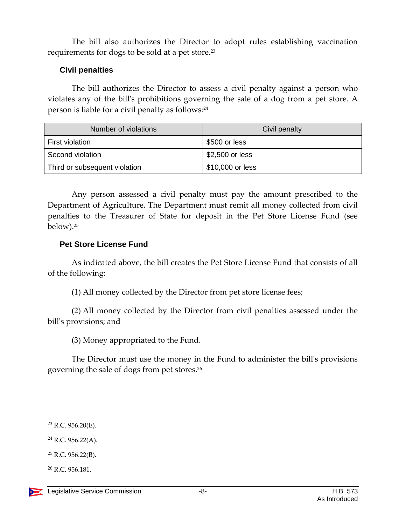The bill also authorizes the Director to adopt rules establishing vaccination requirements for dogs to be sold at a pet store.<sup>23</sup>

#### **Civil penalties**

The bill authorizes the Director to assess a civil penalty against a person who violates any of the bill's prohibitions governing the sale of a dog from a pet store. A person is liable for a civil penalty as follows:<sup>24</sup>

| Number of violations          | Civil penalty    |
|-------------------------------|------------------|
| First violation               | \$500 or less    |
| Second violation              | \$2,500 or less  |
| Third or subsequent violation | \$10,000 or less |

Any person assessed a civil penalty must pay the amount prescribed to the Department of Agriculture. The Department must remit all money collected from civil penalties to the Treasurer of State for deposit in the Pet Store License Fund (see below).<sup>25</sup>

#### **Pet Store License Fund**

As indicated above, the bill creates the Pet Store License Fund that consists of all of the following:

(1) All money collected by the Director from pet store license fees;

(2) All money collected by the Director from civil penalties assessed under the bill's provisions; and

(3) Money appropriated to the Fund.

The Director must use the money in the Fund to administer the bill's provisions governing the sale of dogs from pet stores.<sup>26</sup>

 $\overline{a}$ 

 $24$  R.C. 956.22(A).

 $23$  R.C. 956.20(E).

<sup>25</sup> R.C. 956.22(B).

<sup>26</sup> R.C. 956.181.